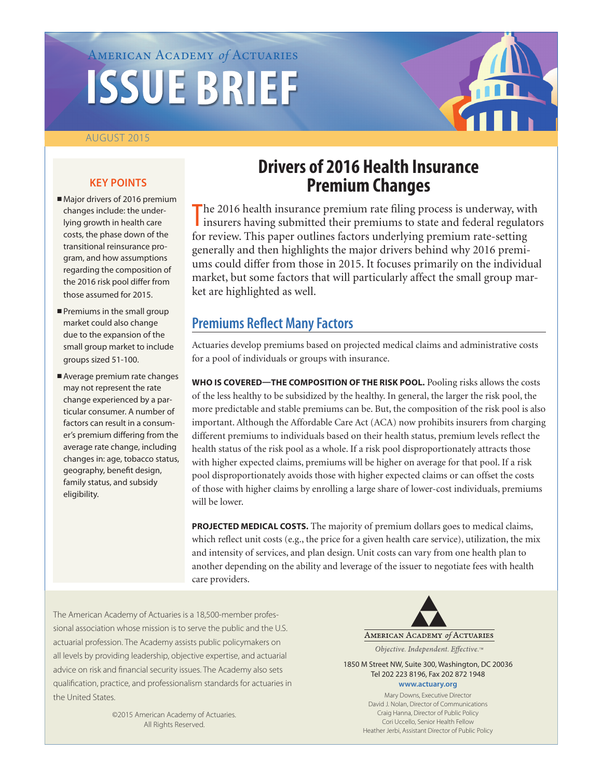# AMERICAN ACADEMY *of* ACTUARIES

## AUGUST 2015

# **KEY POINTS**

- Major drivers of 2016 premium changes include: the underlying growth in health care costs, the phase down of the transitional reinsurance program, and how assumptions regarding the composition of the 2016 risk pool differ from those assumed for 2015.
- $\blacksquare$  Premiums in the small group market could also change due to the expansion of the small group market to include groups sized 51-100.
- Average premium rate changes may not represent the rate change experienced by a particular consumer. A number of factors can result in a consumer's premium differing from the average rate change, including changes in: age, tobacco status, geography, benefit design, family status, and subsidy eligibility.

# **Drivers of 2016 Health Insurance Premium Changes**

The 2016 health insurance premium rate filing process is underway, with insurers having submitted their premiums to state and federal regulators I insurers having submitted their premiums to state and federal regulators for review. This paper outlines factors underlying premium rate-setting generally and then highlights the major drivers behind why 2016 premiums could differ from those in 2015. It focuses primarily on the individual market, but some factors that will particularly affect the small group market are highlighted as well.

# **Premiums Reflect Many Factors**

Actuaries develop premiums based on projected medical claims and administrative costs for a pool of individuals or groups with insurance.

**WHO IS COVERED—THE COMPOSITION OF THE RISK POOL.** Pooling risks allows the costs of the less healthy to be subsidized by the healthy. In general, the larger the risk pool, the more predictable and stable premiums can be. But, the composition of the risk pool is also important. Although the Affordable Care Act (ACA) now prohibits insurers from charging different premiums to individuals based on their health status, premium levels reflect the health status of the risk pool as a whole. If a risk pool disproportionately attracts those with higher expected claims, premiums will be higher on average for that pool. If a risk pool disproportionately avoids those with higher expected claims or can offset the costs of those with higher claims by enrolling a large share of lower-cost individuals, premiums will be lower.

**PROJECTED MEDICAL COSTS.** The majority of premium dollars goes to medical claims, which reflect unit costs (e.g., the price for a given health care service), utilization, the mix and intensity of services, and plan design. Unit costs can vary from one health plan to another depending on the ability and leverage of the issuer to negotiate fees with health care providers.

The American Academy of Actuaries is a 18,500-member professional association whose mission is to serve the public and the U.S. actuarial profession. The Academy assists public policymakers on all levels by providing leadership, objective expertise, and actuarial advice on risk and financial security issues. The Academy also sets qualification, practice, and professionalism standards for actuaries in the United States.

> ©2015 American Academy of Actuaries. All Rights Reserved.

AMERICAN ACADEMY of ACTUARIES

Objective. Independent. Effective.™

1850 M Street NW, Suite 300, Washington, DC 20036 Tel 202 223 8196, Fax 202 872 1948 **<www.actuary.org>**

> Mary Downs, Executive Director David J. Nolan, Director of Communications Craig Hanna, Director of Public Policy Cori Uccello, Senior Health Fellow Heather Jerbi, Assistant Director of Public Policy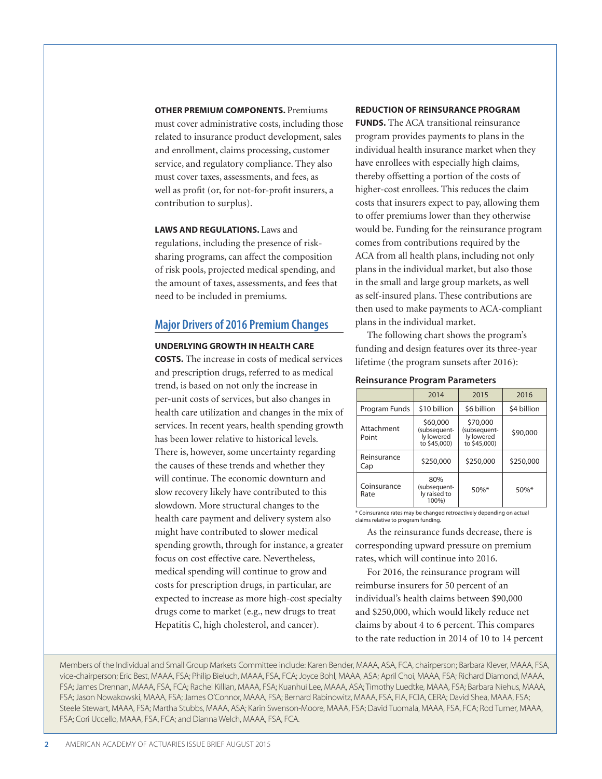**OTHER PREMIUM COMPONENTS. Premiums** 

must cover administrative costs, including those related to insurance product development, sales and enrollment, claims processing, customer service, and regulatory compliance. They also must cover taxes, assessments, and fees, as well as profit (or, for not-for-profit insurers, a contribution to surplus).

**LAWS AND REGULATIONS.** Laws and regulations, including the presence of risksharing programs, can affect the composition of risk pools, projected medical spending, and the amount of taxes, assessments, and fees that need to be included in premiums.

# **Major Drivers of 2016 Premium Changes**

#### **UNDERLYING GROWTH IN HEALTH CARE**

**COSTS.** The increase in costs of medical services and prescription drugs, referred to as medical trend, is based on not only the increase in per-unit costs of services, but also changes in health care utilization and changes in the mix of services. In recent years, health spending growth has been lower relative to historical levels. There is, however, some uncertainty regarding the causes of these trends and whether they will continue. The economic downturn and slow recovery likely have contributed to this slowdown. More structural changes to the health care payment and delivery system also might have contributed to slower medical spending growth, through for instance, a greater focus on cost effective care. Nevertheless, medical spending will continue to grow and costs for prescription drugs, in particular, are expected to increase as more high-cost specialty drugs come to market (e.g., new drugs to treat Hepatitis C, high cholesterol, and cancer).

#### **REDUCTION OF REINSURANCE PROGRAM**

**FUNDS.** The ACA transitional reinsurance program provides payments to plans in the individual health insurance market when they have enrollees with especially high claims, thereby offsetting a portion of the costs of higher-cost enrollees. This reduces the claim costs that insurers expect to pay, allowing them to offer premiums lower than they otherwise would be. Funding for the reinsurance program comes from contributions required by the ACA from all health plans, including not only plans in the individual market, but also those in the small and large group markets, as well as self-insured plans. These contributions are then used to make payments to ACA-compliant plans in the individual market.

The following chart shows the program's funding and design features over its three-year lifetime (the program sunsets after 2016):

#### **Reinsurance Program Parameters**

|                     | 2014                                                   | 2015                                                   | 2016        |
|---------------------|--------------------------------------------------------|--------------------------------------------------------|-------------|
| Program Funds       | \$10 billion                                           | \$6 billion                                            | \$4 billion |
| Attachment<br>Point | \$60,000<br>(subsequent-<br>ly lowered<br>to \$45,000) | \$70,000<br>(subsequent-<br>ly lowered<br>to \$45,000) | \$90,000    |
| Reinsurance<br>Cap  | \$250,000                                              | \$250,000                                              | \$250,000   |
| Coinsurance<br>Rate | 80%<br>(subsequent-<br>ly raised to<br>100%)           | $50\%$ *                                               | $50\%$ *    |

\* Coinsurance rates may be changed retroactively depending on actual claims relative to program funding.

As the reinsurance funds decrease, there is corresponding upward pressure on premium rates, which will continue into 2016.

For 2016, the reinsurance program will reimburse insurers for 50 percent of an individual's health claims between \$90,000 and \$250,000, which would likely reduce net claims by about 4 to 6 percent. This compares to the rate reduction in 2014 of 10 to 14 percent

Members of the Individual and Small Group Markets Committee include: Karen Bender, MAAA, ASA, FCA, chairperson; Barbara Klever, MAAA, FSA, vice-chairperson; Eric Best, MAAA, FSA; Philip Bieluch, MAAA, FSA, FCA; Joyce Bohl, MAAA, ASA; April Choi, MAAA, FSA; Richard Diamond, MAAA, FSA; James Drennan, MAAA, FSA, FCA; Rachel Killian, MAAA, FSA; Kuanhui Lee, MAAA, ASA; Timothy Luedtke, MAAA, FSA; Barbara Niehus, MAAA, FSA; Jason Nowakowski, MAAA, FSA; James O'Connor, MAAA, FSA; Bernard Rabinowitz, MAAA, FSA, FIA, FCIA, CERA; David Shea, MAAA, FSA; Steele Stewart, MAAA, FSA; Martha Stubbs, MAAA, ASA; Karin Swenson-Moore, MAAA, FSA; David Tuomala, MAAA, FSA, FCA; Rod Turner, MAAA, FSA; Cori Uccello, MAAA, FSA, FCA; and Dianna Welch, MAAA, FSA, FCA.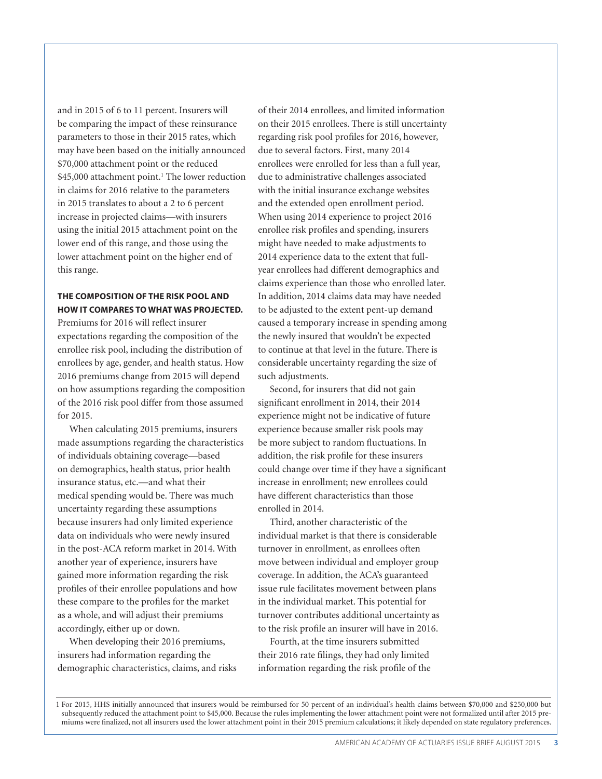and in 2015 of 6 to 11 percent. Insurers will be comparing the impact of these reinsurance parameters to those in their 2015 rates, which may have been based on the initially announced \$70,000 attachment point or the reduced \$45,000 attachment point.<sup>1</sup> The lower reduction in claims for 2016 relative to the parameters in 2015 translates to about a 2 to 6 percent increase in projected claims—with insurers using the initial 2015 attachment point on the lower end of this range, and those using the lower attachment point on the higher end of this range.

## **THE COMPOSITION OF THE RISK POOL AND HOW IT COMPARES TO WHAT WAS PROJECTED.**

Premiums for 2016 will reflect insurer expectations regarding the composition of the enrollee risk pool, including the distribution of enrollees by age, gender, and health status. How 2016 premiums change from 2015 will depend on how assumptions regarding the composition of the 2016 risk pool differ from those assumed for 2015.

When calculating 2015 premiums, insurers made assumptions regarding the characteristics of individuals obtaining coverage—based on demographics, health status, prior health insurance status, etc.—and what their medical spending would be. There was much uncertainty regarding these assumptions because insurers had only limited experience data on individuals who were newly insured in the post-ACA reform market in 2014. With another year of experience, insurers have gained more information regarding the risk profiles of their enrollee populations and how these compare to the profiles for the market as a whole, and will adjust their premiums accordingly, either up or down.

When developing their 2016 premiums, insurers had information regarding the demographic characteristics, claims, and risks of their 2014 enrollees, and limited information on their 2015 enrollees. There is still uncertainty regarding risk pool profiles for 2016, however, due to several factors. First, many 2014 enrollees were enrolled for less than a full year, due to administrative challenges associated with the initial insurance exchange websites and the extended open enrollment period. When using 2014 experience to project 2016 enrollee risk profiles and spending, insurers might have needed to make adjustments to 2014 experience data to the extent that fullyear enrollees had different demographics and claims experience than those who enrolled later. In addition, 2014 claims data may have needed to be adjusted to the extent pent-up demand caused a temporary increase in spending among the newly insured that wouldn't be expected to continue at that level in the future. There is considerable uncertainty regarding the size of such adjustments.

Second, for insurers that did not gain significant enrollment in 2014, their 2014 experience might not be indicative of future experience because smaller risk pools may be more subject to random fluctuations. In addition, the risk profile for these insurers could change over time if they have a significant increase in enrollment; new enrollees could have different characteristics than those enrolled in 2014.

Third, another characteristic of the individual market is that there is considerable turnover in enrollment, as enrollees often move between individual and employer group coverage. In addition, the ACA's guaranteed issue rule facilitates movement between plans in the individual market. This potential for turnover contributes additional uncertainty as to the risk profile an insurer will have in 2016.

Fourth, at the time insurers submitted their 2016 rate filings, they had only limited information regarding the risk profile of the

1 For 2015, HHS initially announced that insurers would be reimbursed for 50 percent of an individual's health claims between \$70,000 and \$250,000 but subsequently reduced the attachment point to \$45,000. Because the rules implementing the lower attachment point were not formalized until after 2015 premiums were finalized, not all insurers used the lower attachment point in their 2015 premium calculations; it likely depended on state regulatory preferences.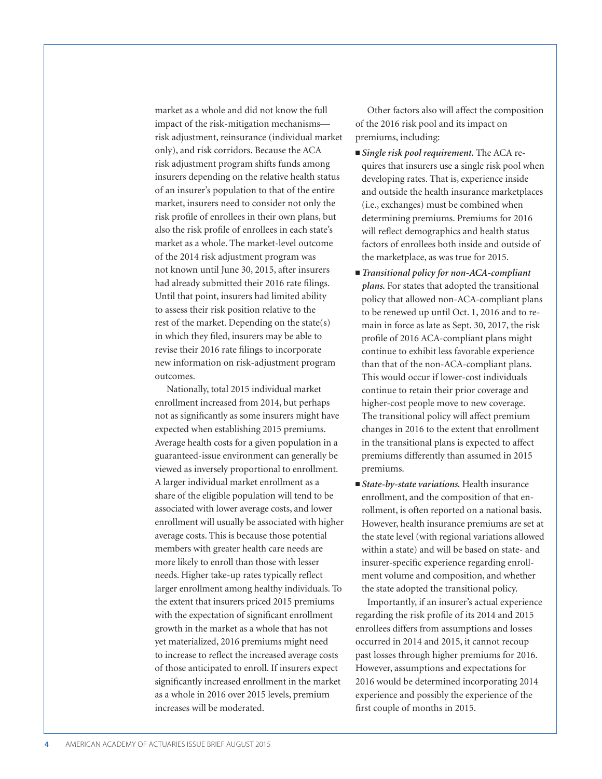market as a whole and did not know the full impact of the risk-mitigation mechanisms risk adjustment, reinsurance (individual market only), and risk corridors. Because the ACA risk adjustment program shifts funds among insurers depending on the relative health status of an insurer's population to that of the entire market, insurers need to consider not only the risk profile of enrollees in their own plans, but also the risk profile of enrollees in each state's market as a whole. The market-level outcome of the 2014 risk adjustment program was not known until June 30, 2015, after insurers had already submitted their 2016 rate filings. Until that point, insurers had limited ability to assess their risk position relative to the rest of the market. Depending on the state(s) in which they filed, insurers may be able to revise their 2016 rate filings to incorporate new information on risk-adjustment program outcomes.

Nationally, total 2015 individual market enrollment increased from 2014, but perhaps not as significantly as some insurers might have expected when establishing 2015 premiums. Average health costs for a given population in a guaranteed-issue environment can generally be viewed as inversely proportional to enrollment. A larger individual market enrollment as a share of the eligible population will tend to be associated with lower average costs, and lower enrollment will usually be associated with higher average costs. This is because those potential members with greater health care needs are more likely to enroll than those with lesser needs. Higher take-up rates typically reflect larger enrollment among healthy individuals. To the extent that insurers priced 2015 premiums with the expectation of significant enrollment growth in the market as a whole that has not yet materialized, 2016 premiums might need to increase to reflect the increased average costs of those anticipated to enroll. If insurers expect significantly increased enrollment in the market as a whole in 2016 over 2015 levels, premium increases will be moderated.

Other factors also will affect the composition of the 2016 risk pool and its impact on premiums, including:

- *Single risk pool requirement*. The ACA requires that insurers use a single risk pool when developing rates. That is, experience inside and outside the health insurance marketplaces (i.e., exchanges) must be combined when determining premiums. Premiums for 2016 will reflect demographics and health status factors of enrollees both inside and outside of the marketplace, as was true for 2015.
- *Transitional policy for non-ACA-compliant plans.* For states that adopted the transitional policy that allowed non-ACA-compliant plans to be renewed up until Oct. 1, 2016 and to remain in force as late as Sept. 30, 2017, the risk profile of 2016 ACA-compliant plans might continue to exhibit less favorable experience than that of the non-ACA-compliant plans. This would occur if lower-cost individuals continue to retain their prior coverage and higher-cost people move to new coverage. The transitional policy will affect premium changes in 2016 to the extent that enrollment in the transitional plans is expected to affect premiums differently than assumed in 2015 premiums.
- *State-by-state variations*. Health insurance enrollment, and the composition of that enrollment, is often reported on a national basis. However, health insurance premiums are set at the state level (with regional variations allowed within a state) and will be based on state- and insurer-specific experience regarding enrollment volume and composition, and whether the state adopted the transitional policy.

Importantly, if an insurer's actual experience regarding the risk profile of its 2014 and 2015 enrollees differs from assumptions and losses occurred in 2014 and 2015, it cannot recoup past losses through higher premiums for 2016. However, assumptions and expectations for 2016 would be determined incorporating 2014 experience and possibly the experience of the first couple of months in 2015.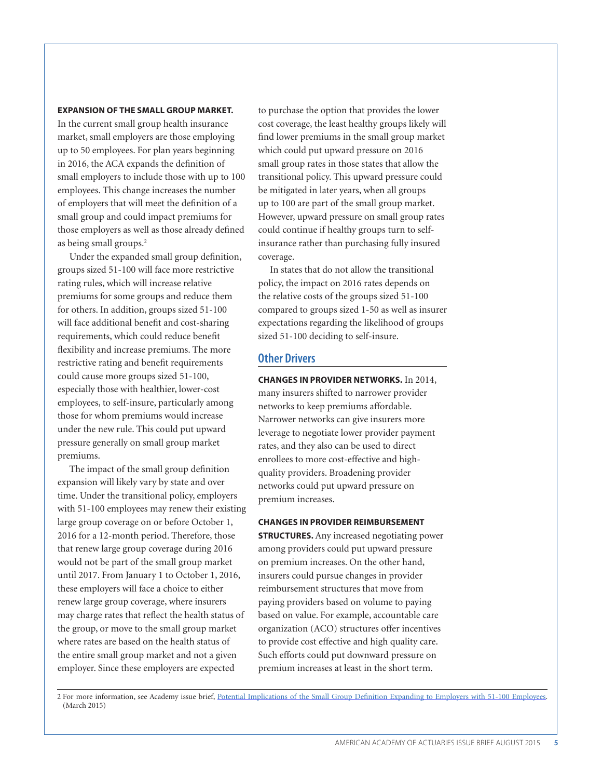#### **EXPANSION OF THE SMALL GROUP MARKET.**

In the current small group health insurance market, small employers are those employing up to 50 employees. For plan years beginning in 2016, the ACA expands the definition of small employers to include those with up to 100 employees. This change increases the number of employers that will meet the definition of a small group and could impact premiums for those employers as well as those already defined as being small groups.<sup>2</sup>

Under the expanded small group definition, groups sized 51-100 will face more restrictive rating rules, which will increase relative premiums for some groups and reduce them for others. In addition, groups sized 51-100 will face additional benefit and cost-sharing requirements, which could reduce benefit flexibility and increase premiums. The more restrictive rating and benefit requirements could cause more groups sized 51-100, especially those with healthier, lower-cost employees, to self-insure, particularly among those for whom premiums would increase under the new rule. This could put upward pressure generally on small group market premiums.

The impact of the small group definition expansion will likely vary by state and over time. Under the transitional policy, employers with 51-100 employees may renew their existing large group coverage on or before October 1, 2016 for a 12-month period. Therefore, those that renew large group coverage during 2016 would not be part of the small group market until 2017. From January 1 to October 1, 2016, these employers will face a choice to either renew large group coverage, where insurers may charge rates that reflect the health status of the group, or move to the small group market where rates are based on the health status of the entire small group market and not a given employer. Since these employers are expected

to purchase the option that provides the lower cost coverage, the least healthy groups likely will find lower premiums in the small group market which could put upward pressure on 2016 small group rates in those states that allow the transitional policy. This upward pressure could be mitigated in later years, when all groups up to 100 are part of the small group market. However, upward pressure on small group rates could continue if healthy groups turn to selfinsurance rather than purchasing fully insured coverage.

In states that do not allow the transitional policy, the impact on 2016 rates depends on the relative costs of the groups sized 51-100 compared to groups sized 1-50 as well as insurer expectations regarding the likelihood of groups sized 51-100 deciding to self-insure.

### **Other Drivers**

**CHANGES IN PROVIDER NETWORKS.** In 2014, many insurers shifted to narrower provider networks to keep premiums affordable. Narrower networks can give insurers more leverage to negotiate lower provider payment rates, and they also can be used to direct enrollees to more cost-effective and highquality providers. Broadening provider networks could put upward pressure on premium increases.

#### **CHANGES IN PROVIDER REIMBURSEMENT**

**STRUCTURES.** Any increased negotiating power among providers could put upward pressure on premium increases. On the other hand, insurers could pursue changes in provider reimbursement structures that move from paying providers based on volume to paying based on value. For example, accountable care organization (ACO) structures offer incentives to provide cost effective and high quality care. Such efforts could put downward pressure on premium increases at least in the short term.

2 For more information, see Academy issue brief, [Potential Implications of the Small Group Definition Expanding to Employers with 51-100 Employees](http://actuary.org/files/Small_group_def_ib_030215.pdf). (March 2015)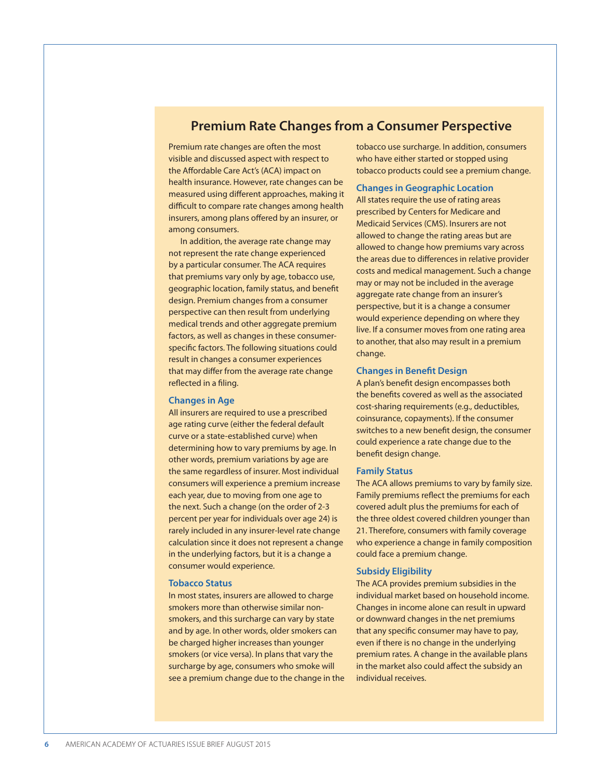# **Premium Rate Changes from a Consumer Perspective**

Premium rate changes are often the most visible and discussed aspect with respect to the Affordable Care Act's (ACA) impact on health insurance. However, rate changes can be measured using different approaches, making it difficult to compare rate changes among health insurers, among plans offered by an insurer, or among consumers.

In addition, the average rate change may not represent the rate change experienced by a particular consumer. The ACA requires that premiums vary only by age, tobacco use, geographic location, family status, and benefit design. Premium changes from a consumer perspective can then result from underlying medical trends and other aggregate premium factors, as well as changes in these consumerspecific factors. The following situations could result in changes a consumer experiences that may differ from the average rate change reflected in a filing.

#### **Changes in Age**

All insurers are required to use a prescribed age rating curve (either the federal default curve or a state-established curve) when determining how to vary premiums by age. In other words, premium variations by age are the same regardless of insurer. Most individual consumers will experience a premium increase each year, due to moving from one age to the next. Such a change (on the order of 2-3 percent per year for individuals over age 24) is rarely included in any insurer-level rate change calculation since it does not represent a change in the underlying factors, but it is a change a consumer would experience.

#### **Tobacco Status**

In most states, insurers are allowed to charge smokers more than otherwise similar nonsmokers, and this surcharge can vary by state and by age. In other words, older smokers can be charged higher increases than younger smokers (or vice versa). In plans that vary the surcharge by age, consumers who smoke will see a premium change due to the change in the tobacco use surcharge. In addition, consumers who have either started or stopped using tobacco products could see a premium change.

#### **Changes in Geographic Location**

All states require the use of rating areas prescribed by Centers for Medicare and Medicaid Services (CMS). Insurers are not allowed to change the rating areas but are allowed to change how premiums vary across the areas due to differences in relative provider costs and medical management. Such a change may or may not be included in the average aggregate rate change from an insurer's perspective, but it is a change a consumer would experience depending on where they live. If a consumer moves from one rating area to another, that also may result in a premium change.

#### **Changes in Benefit Design**

A plan's benefit design encompasses both the benefits covered as well as the associated cost-sharing requirements (e.g., deductibles, coinsurance, copayments). If the consumer switches to a new benefit design, the consumer could experience a rate change due to the benefit design change.

#### **Family Status**

The ACA allows premiums to vary by family size. Family premiums reflect the premiums for each covered adult plus the premiums for each of the three oldest covered children younger than 21. Therefore, consumers with family coverage who experience a change in family composition could face a premium change.

#### **Subsidy Eligibility**

The ACA provides premium subsidies in the individual market based on household income. Changes in income alone can result in upward or downward changes in the net premiums that any specific consumer may have to pay, even if there is no change in the underlying premium rates. A change in the available plans in the market also could affect the subsidy an individual receives.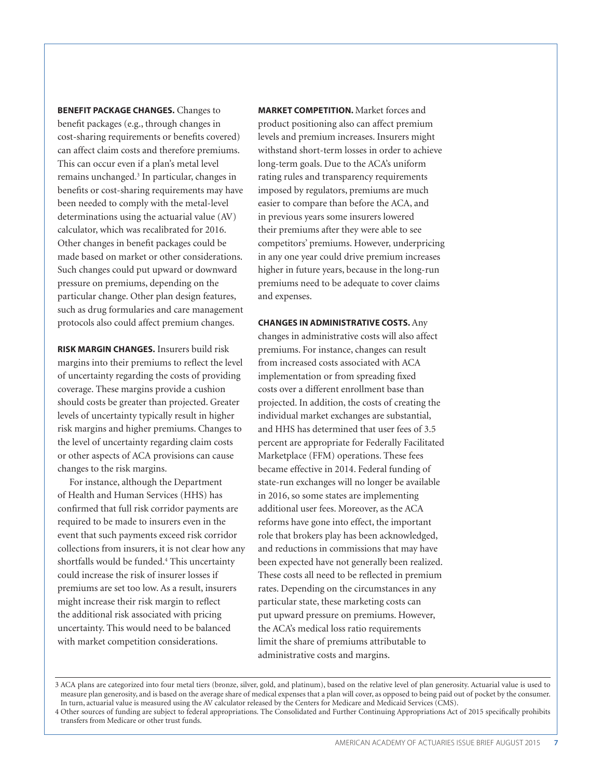**BENEFIT PACKAGE CHANGES.** Changes to benefit packages (e.g., through changes in cost-sharing requirements or benefits covered) can affect claim costs and therefore premiums. This can occur even if a plan's metal level remains unchanged.3 In particular, changes in benefits or cost-sharing requirements may have been needed to comply with the metal-level determinations using the actuarial value (AV) calculator, which was recalibrated for 2016. Other changes in benefit packages could be made based on market or other considerations. Such changes could put upward or downward pressure on premiums, depending on the particular change. Other plan design features, such as drug formularies and care management protocols also could affect premium changes.

**RISK MARGIN CHANGES.** Insurers build risk margins into their premiums to reflect the level of uncertainty regarding the costs of providing coverage. These margins provide a cushion should costs be greater than projected. Greater levels of uncertainty typically result in higher risk margins and higher premiums. Changes to the level of uncertainty regarding claim costs or other aspects of ACA provisions can cause changes to the risk margins.

For instance, although the Department of Health and Human Services (HHS) has confirmed that full risk corridor payments are required to be made to insurers even in the event that such payments exceed risk corridor collections from insurers, it is not clear how any shortfalls would be funded.4 This uncertainty could increase the risk of insurer losses if premiums are set too low. As a result, insurers might increase their risk margin to reflect the additional risk associated with pricing uncertainty. This would need to be balanced with market competition considerations.

**MARKET COMPETITION.** Market forces and product positioning also can affect premium levels and premium increases. Insurers might withstand short-term losses in order to achieve long-term goals. Due to the ACA's uniform rating rules and transparency requirements imposed by regulators, premiums are much easier to compare than before the ACA, and in previous years some insurers lowered their premiums after they were able to see competitors' premiums. However, underpricing in any one year could drive premium increases higher in future years, because in the long-run premiums need to be adequate to cover claims and expenses.

**CHANGES IN ADMINISTRATIVE COSTS.** Any changes in administrative costs will also affect premiums. For instance, changes can result from increased costs associated with ACA implementation or from spreading fixed costs over a different enrollment base than projected. In addition, the costs of creating the individual market exchanges are substantial, and HHS has determined that user fees of 3.5 percent are appropriate for Federally Facilitated Marketplace (FFM) operations. These fees became effective in 2014. Federal funding of state-run exchanges will no longer be available in 2016, so some states are implementing additional user fees. Moreover, as the ACA reforms have gone into effect, the important role that brokers play has been acknowledged, and reductions in commissions that may have been expected have not generally been realized. These costs all need to be reflected in premium rates. Depending on the circumstances in any particular state, these marketing costs can put upward pressure on premiums. However, the ACA's medical loss ratio requirements limit the share of premiums attributable to administrative costs and margins.

3 ACA plans are categorized into four metal tiers (bronze, silver, gold, and platinum), based on the relative level of plan generosity. Actuarial value is used to measure plan generosity, and is based on the average share of medical expenses that a plan will cover, as opposed to being paid out of pocket by the consumer. In turn, actuarial value is measured using the AV calculator released by the Centers for Medicare and Medicaid Services (CMS).

<sup>4</sup> Other sources of funding are subject to federal appropriations. The Consolidated and Further Continuing Appropriations Act of 2015 specifically prohibits transfers from Medicare or other trust funds.